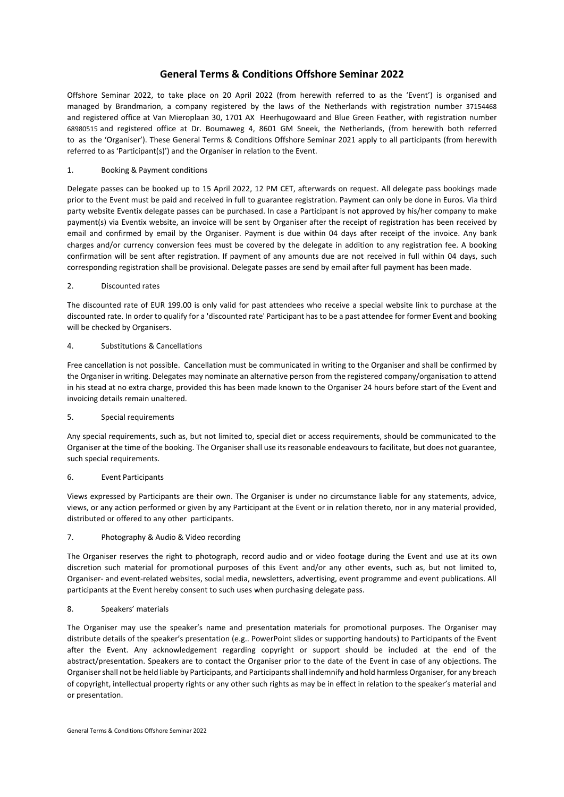# **General Terms & Conditions Offshore Seminar 2022**

Offshore Seminar 2022, to take place on 20 April 2022 (from herewith referred to as the 'Event') is organised and managed by Brandmarion, a company registered by the laws of the Netherlands with registration number 37154468 and registered office at Van Mieroplaan 30, 1701 AX Heerhugowaard and Blue Green Feather, with registration number 68980515 and registered office at Dr. Boumaweg 4, 8601 GM Sneek, the Netherlands, (from herewith both referred to as the 'Organiser'). These General Terms & Conditions Offshore Seminar 2021 apply to all participants (from herewith referred to as 'Participant(s)') and the Organiser in relation to the Event.

# 1. Booking & Payment conditions

Delegate passes can be booked up to 15 April 2022, 12 PM CET, afterwards on request. All delegate pass bookings made prior to the Event must be paid and received in full to guarantee registration. Payment can only be done in Euros. Via third party website Eventix delegate passes can be purchased. In case a Participant is not approved by his/her company to make payment(s) via Eventix website, an invoice will be sent by Organiser after the receipt of registration has been received by email and confirmed by email by the Organiser. Payment is due within 04 days after receipt of the invoice. Any bank charges and/or currency conversion fees must be covered by the delegate in addition to any registration fee. A booking confirmation will be sent after registration. If payment of any amounts due are not received in full within 04 days, such corresponding registration shall be provisional. Delegate passes are send by email after full payment has been made.

# 2. Discounted rates

The discounted rate of EUR 199.00 is only valid for past attendees who receive a special website link to purchase at the discounted rate. In order to qualify for a 'discounted rate' Participant has to be a past attendee for former Event and booking will be checked by Organisers.

# 4. Substitutions & Cancellations

Free cancellation is not possible. Cancellation must be communicated in writing to the Organiser and shall be confirmed by the Organiser in writing. Delegates may nominate an alternative person from the registered company/organisation to attend in his stead at no extra charge, provided this has been made known to the Organiser 24 hours before start of the Event and invoicing details remain unaltered.

## 5. Special requirements

Any special requirements, such as, but not limited to, special diet or access requirements, should be communicated to the Organiser at the time of the booking. The Organiser shall use its reasonable endeavours to facilitate, but does not guarantee, such special requirements.

# 6. Event Participants

Views expressed by Participants are their own. The Organiser is under no circumstance liable for any statements, advice, views, or any action performed or given by any Participant at the Event or in relation thereto, nor in any material provided, distributed or offered to any other participants.

# 7. Photography & Audio & Video recording

The Organiser reserves the right to photograph, record audio and or video footage during the Event and use at its own discretion such material for promotional purposes of this Event and/or any other events, such as, but not limited to, Organiser- and event-related websites, social media, newsletters, advertising, event programme and event publications. All participants at the Event hereby consent to such uses when purchasing delegate pass.

## 8. Speakers' materials

The Organiser may use the speaker's name and presentation materials for promotional purposes. The Organiser may distribute details of the speaker's presentation (e.g.. PowerPoint slides or supporting handouts) to Participants of the Event after the Event. Any acknowledgement regarding copyright or support should be included at the end of the abstract/presentation. Speakers are to contact the Organiser prior to the date of the Event in case of any objections. The Organiser shall not be held liable by Participants, and Participants shall indemnify and hold harmless Organiser, for any breach of copyright, intellectual property rights or any other such rights as may be in effect in relation to the speaker's material and or presentation.